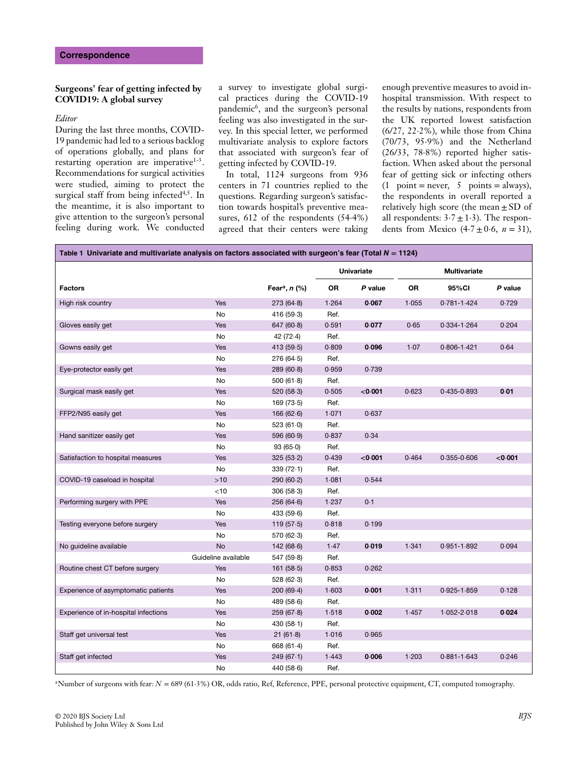## **Surgeons' fear of getting infected by COVID19: A global survey**

## *Editor*

During the last three months, COVID-19 pandemic had led to a serious backlog of operations globally, and plans for restarting operation are imperative $1-3$ . Recommendations for surgical activities were studied, aiming to protect the surgical staff from being infected $4,5$ . In the meantime, it is also important to give attention to the surgeon's personal feeling during work. We conducted a survey to investigate global surgical practices during the COVID-19 pandemic6, and the surgeon's personal feeling was also investigated in the survey. In this special letter, we performed multivariate analysis to explore factors that associated with surgeon's fear of getting infected by COVID-19.

In total, 1124 surgeons from 936 centers in 71 countries replied to the questions. Regarding surgeon's satisfaction towards hospital's preventive measures, 612 of the respondents (54⋅4%) agreed that their centers were taking enough preventive measures to avoid inhospital transmission. With respect to the results by nations, respondents from the UK reported lowest satisfaction (6/27, 22⋅2%), while those from China (70/73, 95⋅9%) and the Netherland (26/33, 78⋅8%) reported higher satisfaction. When asked about the personal fear of getting sick or infecting others  $(1$  point = never, 5 points = always), the respondents in overall reported a relatively high score (the mean $\pm$ SD of all respondents:  $3·7 \pm 1·3$ ). The respondents from Mexico  $(4.7 \pm 0.6, n = 31)$ ,

| Table 1 Univariate and multivariate analysis on factors associated with surgeon's fear (Total $N = 1124$ ) |                     |                                  |                   |         |                     |                 |         |
|------------------------------------------------------------------------------------------------------------|---------------------|----------------------------------|-------------------|---------|---------------------|-----------------|---------|
|                                                                                                            |                     |                                  | <b>Univariate</b> |         | <b>Multivariate</b> |                 |         |
| <b>Factors</b>                                                                                             |                     | Fear <sup>a</sup> , <i>n</i> (%) | OR                | P value | OR                  | 95%CI           | P value |
| High risk country                                                                                          | Yes                 | 273(64.8)                        | 1.264             | 0.067   | 1.055               | $0.781 - 1.424$ | 0.729   |
|                                                                                                            | No                  | 416 (59-3)                       | Ref.              |         |                     |                 |         |
| Gloves easily get                                                                                          | Yes                 | 647(60.8)                        | 0.591             | 0.077   | 0.65                | $0.334 - 1.264$ | 0.204   |
|                                                                                                            | No                  | 42(72.4)                         | Ref.              |         |                     |                 |         |
| Gowns easily get                                                                                           | Yes                 | 413 (59.5)                       | 0.809             | 0.096   | 1.07                | $0.806 - 1.421$ | 0.64    |
|                                                                                                            | No                  | 276 (64.5)                       | Ref.              |         |                     |                 |         |
| Eye-protector easily get                                                                                   | Yes                 | 289(60.8)                        | 0.959             | 0.739   |                     |                 |         |
|                                                                                                            | No                  | 500(61.8)                        | Ref.              |         |                     |                 |         |
| Surgical mask easily get                                                                                   | Yes                 | 520(58.3)                        | 0.505             | < 0.001 | 0.623               | $0.435 - 0.893$ | 0.01    |
|                                                                                                            | No                  | 169(73.5)                        | Ref.              |         |                     |                 |         |
| FFP2/N95 easily get                                                                                        | Yes                 | 166(62.6)                        | 1.071             | 0.637   |                     |                 |         |
|                                                                                                            | No                  | 523(61.0)                        | Ref.              |         |                     |                 |         |
| Hand sanitizer easily get                                                                                  | Yes                 | 596 (60.9)                       | 0.837             | 0.34    |                     |                 |         |
|                                                                                                            | No                  | 93(65.0)                         | Ref.              |         |                     |                 |         |
| Satisfaction to hospital measures                                                                          | Yes                 | 325(53.2)                        | 0.439             | < 0.001 | 0.464               | $0.355 - 0.606$ | < 0.001 |
|                                                                                                            | No                  | 339(72.1)                        | Ref.              |         |                     |                 |         |
| COVID-19 caseload in hospital                                                                              | >10                 | 290(60.2)                        | 1.081             | 0.544   |                     |                 |         |
|                                                                                                            | $<$ 10              | 306(58.3)                        | Ref.              |         |                     |                 |         |
| Performing surgery with PPE                                                                                | Yes                 | 256(64.6)                        | 1.237             | 0.1     |                     |                 |         |
|                                                                                                            | No                  | 433 (59.6)                       | Ref.              |         |                     |                 |         |
| Testing everyone before surgery                                                                            | Yes                 | 119(57.5)                        | 0.818             | 0.199   |                     |                 |         |
|                                                                                                            | No                  | 570 (62.3)                       | Ref.              |         |                     |                 |         |
| No guideline available                                                                                     | <b>No</b>           | 142(68.6)                        | 1.47              | 0.019   | 1.341               | $0.951 - 1.892$ | 0.094   |
|                                                                                                            | Guideline available | 547 (59.8)                       | Ref.              |         |                     |                 |         |
| Routine chest CT before surgery                                                                            | Yes                 | 161(58.5)                        | 0.853             | 0.262   |                     |                 |         |
|                                                                                                            | No                  | 528(62.3)                        | Ref.              |         |                     |                 |         |
| Experience of asymptomatic patients                                                                        | Yes                 | 200(69.4)                        | 1.603             | 0.001   | 1.311               | $0.925 - 1.859$ | 0.128   |
|                                                                                                            | No                  | 489 (58.6)                       | Ref.              |         |                     |                 |         |
| Experience of in-hospital infections                                                                       | Yes                 | 259(67.8)                        | 1.518             | 0.002   | 1.457               | $1.052 - 2.018$ | 0.024   |
|                                                                                                            | No                  | 430 $(58.1)$                     | Ref.              |         |                     |                 |         |
| Staff get universal test                                                                                   | Yes                 | 21(61.8)                         | 1.016             | 0.965   |                     |                 |         |
|                                                                                                            | No                  | 668 (61.4)                       | Ref.              |         |                     |                 |         |
| Staff get infected                                                                                         | Yes                 | 249(67.1)                        | 1.443             | 0.006   | 1.203               | $0.881 - 1.643$ | 0.246   |
|                                                                                                            | No                  | 440 (58-6)                       | Ref.              |         |                     |                 |         |

aNumber of surgeons with fear: *N* = 689 (61⋅3%) OR, odds ratio, Ref, Reference, PPE, personal protective equipment, CT, computed tomography.